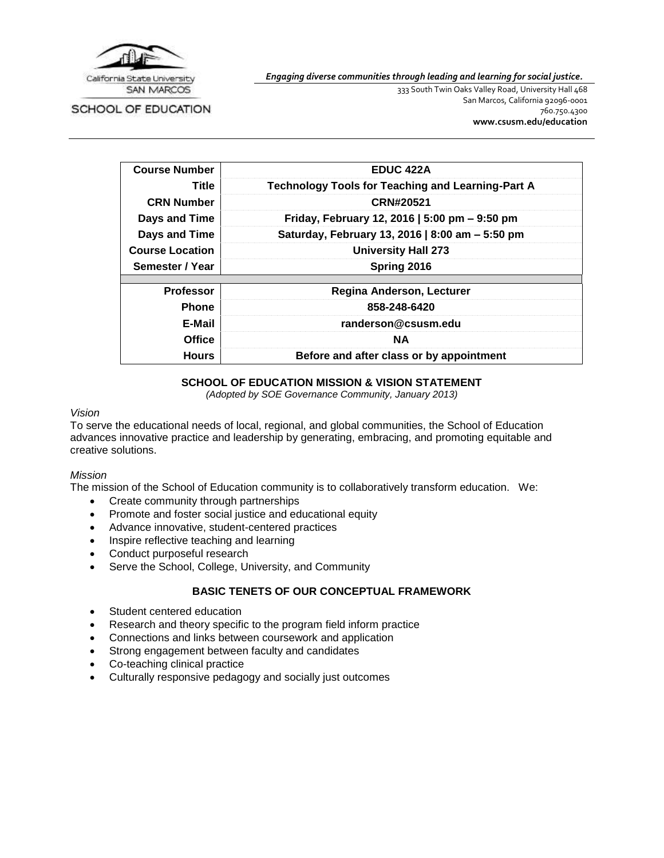

SCHOOL OF EDUCATION

*Engaging diverse communities through leading and learning for social justice.*

333 South Twin Oaks Valley Road, University Hall 468 San Marcos, California 92096-0001 760.750.4300 **[www.csusm.edu/education](http://www.csusm.edu/education)**

| <b>Course Number</b>   | <b>EDUC 422A</b>                                         |  |  |  |
|------------------------|----------------------------------------------------------|--|--|--|
| Title                  | <b>Technology Tools for Teaching and Learning-Part A</b> |  |  |  |
| <b>CRN Number</b>      | CRN#20521                                                |  |  |  |
| Days and Time          | Friday, February 12, 2016   5:00 pm - 9:50 pm            |  |  |  |
| Days and Time          | Saturday, February 13, 2016   8:00 am - 5:50 pm          |  |  |  |
| <b>Course Location</b> | <b>University Hall 273</b>                               |  |  |  |
| Semester / Year        | Spring 2016                                              |  |  |  |
|                        |                                                          |  |  |  |
| <b>Professor</b>       | <b>Regina Anderson, Lecturer</b>                         |  |  |  |
| <b>Phone</b>           | 858-248-6420                                             |  |  |  |
| E-Mail                 | randerson@csusm.edu                                      |  |  |  |
| <b>Office</b>          | NA.                                                      |  |  |  |
| <b>Hours</b>           | Before and after class or by appointment                 |  |  |  |

# **SCHOOL OF EDUCATION MISSION & VISION STATEMENT**

*(Adopted by SOE Governance Community, January 2013)*

#### *Vision*

To serve the educational needs of local, regional, and global communities, the School of Education advances innovative practice and leadership by generating, embracing, and promoting equitable and creative solutions.

#### *Mission*

The mission of the School of Education community is to collaboratively transform education. We:

- Create community through partnerships
- Promote and foster social justice and educational equity
- Advance innovative, student-centered practices
- Inspire reflective teaching and learning
- Conduct purposeful research
- Serve the School, College, University, and Community

### **BASIC TENETS OF OUR CONCEPTUAL FRAMEWORK**

- Student centered education
- Research and theory specific to the program field inform practice
- Connections and links between coursework and application
- Strong engagement between faculty and candidates
- Co-teaching clinical practice
- Culturally responsive pedagogy and socially just outcomes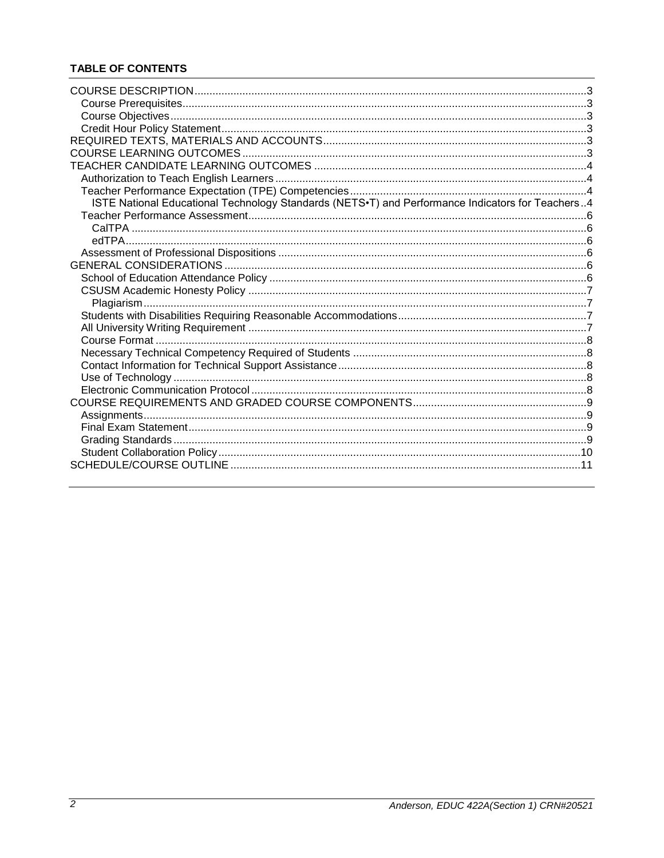# **TABLE OF CONTENTS**

| ISTE National Educational Technology Standards (NETS.T) and Performance Indicators for Teachers4 |  |
|--------------------------------------------------------------------------------------------------|--|
|                                                                                                  |  |
|                                                                                                  |  |
|                                                                                                  |  |
|                                                                                                  |  |
|                                                                                                  |  |
|                                                                                                  |  |
|                                                                                                  |  |
|                                                                                                  |  |
|                                                                                                  |  |
|                                                                                                  |  |
|                                                                                                  |  |
|                                                                                                  |  |
|                                                                                                  |  |
|                                                                                                  |  |
|                                                                                                  |  |
|                                                                                                  |  |
|                                                                                                  |  |
|                                                                                                  |  |
|                                                                                                  |  |
|                                                                                                  |  |
|                                                                                                  |  |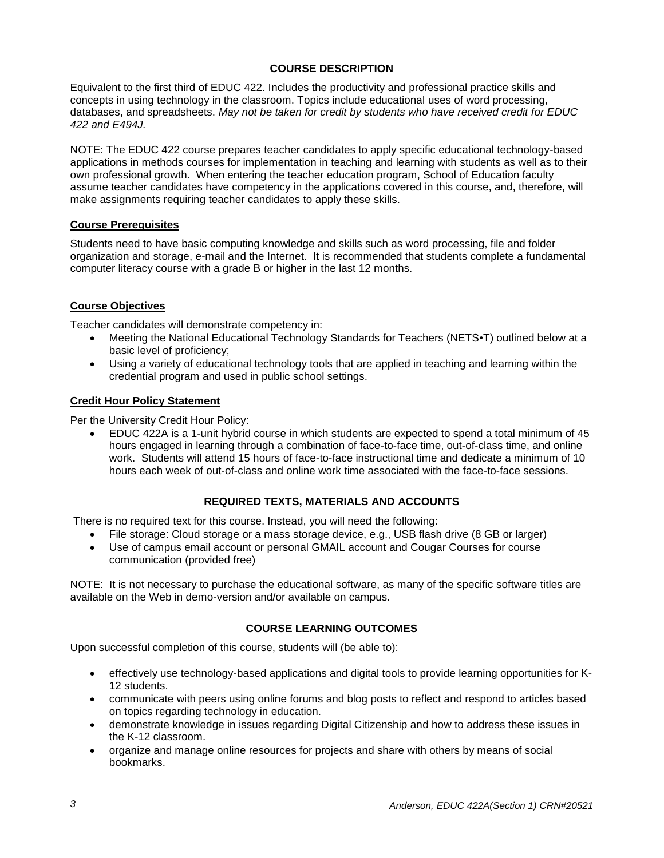# **COURSE DESCRIPTION**

<span id="page-2-0"></span>Equivalent to the first third of EDUC 422. Includes the productivity and professional practice skills and concepts in using technology in the classroom. Topics include educational uses of word processing, databases, and spreadsheets. *May not be taken for credit by students who have received credit for EDUC 422 and E494J.*

NOTE: The EDUC 422 course prepares teacher candidates to apply specific educational technology-based applications in methods courses for implementation in teaching and learning with students as well as to their own professional growth. When entering the teacher education program, School of Education faculty assume teacher candidates have competency in the applications covered in this course, and, therefore, will make assignments requiring teacher candidates to apply these skills.

#### <span id="page-2-1"></span>**Course Prerequisites**

Students need to have basic computing knowledge and skills such as word processing, file and folder organization and storage, e-mail and the Internet. It is recommended that students complete a fundamental computer literacy course with a grade B or higher in the last 12 months.

# <span id="page-2-2"></span>**Course Objectives**

Teacher candidates will demonstrate competency in:

- Meeting the National Educational Technology Standards for Teachers (NETS•T) outlined below at a basic level of proficiency;
- Using a variety of educational technology tools that are applied in teaching and learning within the credential program and used in public school settings.

#### <span id="page-2-3"></span>**Credit Hour Policy Statement**

Per the University Credit Hour Policy:

 EDUC 422A is a 1-unit hybrid course in which students are expected to spend a total minimum of 45 hours engaged in learning through a combination of face-to-face time, out-of-class time, and online work. Students will attend 15 hours of face-to-face instructional time and dedicate a minimum of 10 hours each week of out-of-class and online work time associated with the face-to-face sessions.

# **REQUIRED TEXTS, MATERIALS AND ACCOUNTS**

<span id="page-2-4"></span>There is no required text for this course. Instead, you will need the following:

- File storage: Cloud storage or a mass storage device, e.g., USB flash drive (8 GB or larger)
- Use of campus email account or personal GMAIL account and Cougar Courses for course communication (provided free)

NOTE: It is not necessary to purchase the educational software, as many of the specific software titles are available on the Web in demo-version and/or available on campus.

# **COURSE LEARNING OUTCOMES**

<span id="page-2-5"></span>Upon successful completion of this course, students will (be able to):

- effectively use technology-based applications and digital tools to provide learning opportunities for K-12 students.
- communicate with peers using online forums and blog posts to reflect and respond to articles based on topics regarding technology in education.
- demonstrate knowledge in issues regarding Digital Citizenship and how to address these issues in the K-12 classroom.
- organize and manage online resources for projects and share with others by means of social bookmarks.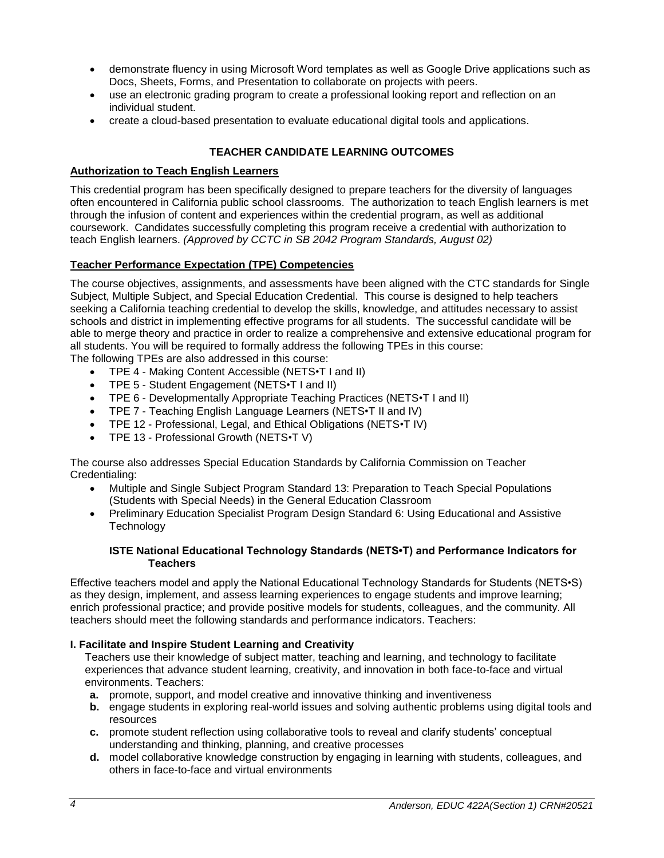- demonstrate fluency in using Microsoft Word templates as well as Google Drive applications such as Docs, Sheets, Forms, and Presentation to collaborate on projects with peers.
- use an electronic grading program to create a professional looking report and reflection on an individual student.
- create a cloud-based presentation to evaluate educational digital tools and applications.

# **TEACHER CANDIDATE LEARNING OUTCOMES**

#### <span id="page-3-1"></span><span id="page-3-0"></span>**Authorization to Teach English Learners**

This credential program has been specifically designed to prepare teachers for the diversity of languages often encountered in California public school classrooms. The authorization to teach English learners is met through the infusion of content and experiences within the credential program, as well as additional coursework. Candidates successfully completing this program receive a credential with authorization to teach English learners. *(Approved by CCTC in SB 2042 Program Standards, August 02)*

# <span id="page-3-2"></span>**Teacher Performance Expectation (TPE) Competencies**

The course objectives, assignments, and assessments have been aligned with the CTC standards for Single Subject, Multiple Subject, and Special Education Credential. This course is designed to help teachers seeking a California teaching credential to develop the skills, knowledge, and attitudes necessary to assist schools and district in implementing effective programs for all students. The successful candidate will be able to merge theory and practice in order to realize a comprehensive and extensive educational program for all students. You will be required to formally address the following TPEs in this course: The following TPEs are also addressed in this course:

- TPE 4 Making Content Accessible (NETS•T I and II)
- TPE 5 Student Engagement (NETS•T I and II)
- TPE 6 Developmentally Appropriate Teaching Practices (NETS•T I and II)
- TPE 7 Teaching English Language Learners (NETS•T II and IV)
- TPE 12 Professional, Legal, and Ethical Obligations (NETS•T IV)
- TPE 13 Professional Growth (NETS•T V)

The course also addresses Special Education Standards by California Commission on Teacher Credentialing:

- Multiple and Single Subject Program Standard 13: Preparation to Teach Special Populations (Students with Special Needs) in the General Education Classroom
- Preliminary Education Specialist Program Design Standard 6: Using Educational and Assistive **Technology**

#### **ISTE National Educational Technology Standards (NETS•T) and Performance Indicators for Teachers**

<span id="page-3-3"></span>Effective teachers model and apply the National Educational Technology Standards for Students (NETS•S) as they design, implement, and assess learning experiences to engage students and improve learning; enrich professional practice; and provide positive models for students, colleagues, and the community. All teachers should meet the following standards and performance indicators. Teachers:

# **I. Facilitate and Inspire Student Learning and Creativity**

Teachers use their knowledge of subject matter, teaching and learning, and technology to facilitate experiences that advance student learning, creativity, and innovation in both face-to-face and virtual environments. Teachers:

- **a.** promote, support, and model creative and innovative thinking and inventiveness
- **b.** engage students in exploring real-world issues and solving authentic problems using digital tools and resources
- **c.** promote student reflection using collaborative tools to reveal and clarify students' conceptual understanding and thinking, planning, and creative processes
- **d.** model collaborative knowledge construction by engaging in learning with students, colleagues, and others in face-to-face and virtual environments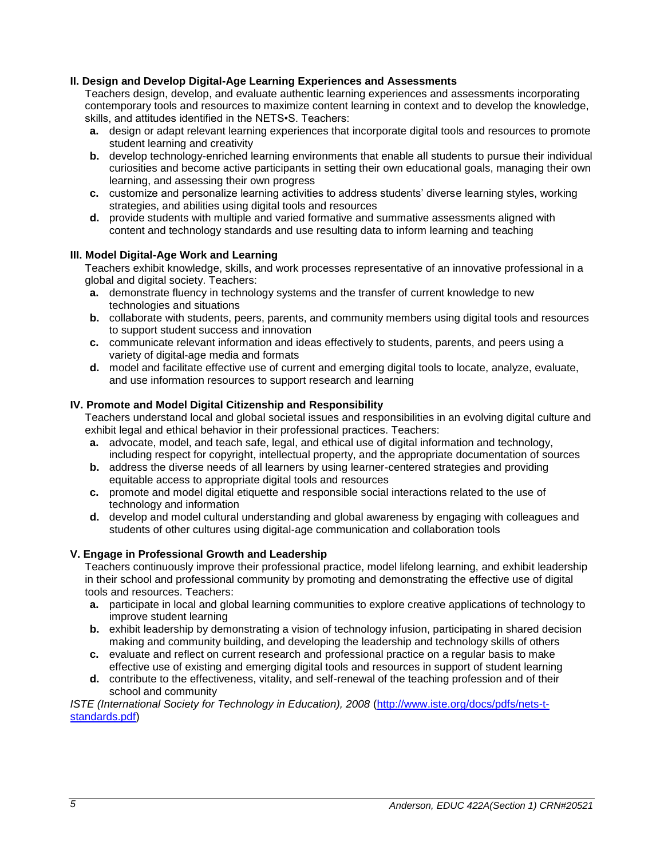# **II. Design and Develop Digital-Age Learning Experiences and Assessments**

Teachers design, develop, and evaluate authentic learning experiences and assessments incorporating contemporary tools and resources to maximize content learning in context and to develop the knowledge, skills, and attitudes identified in the NETS•S. Teachers:

- **a.** design or adapt relevant learning experiences that incorporate digital tools and resources to promote student learning and creativity
- **b.** develop technology-enriched learning environments that enable all students to pursue their individual curiosities and become active participants in setting their own educational goals, managing their own learning, and assessing their own progress
- **c.** customize and personalize learning activities to address students' diverse learning styles, working strategies, and abilities using digital tools and resources
- **d.** provide students with multiple and varied formative and summative assessments aligned with content and technology standards and use resulting data to inform learning and teaching

# **III. Model Digital-Age Work and Learning**

Teachers exhibit knowledge, skills, and work processes representative of an innovative professional in a global and digital society. Teachers:

- **a.** demonstrate fluency in technology systems and the transfer of current knowledge to new technologies and situations
- **b.** collaborate with students, peers, parents, and community members using digital tools and resources to support student success and innovation
- **c.** communicate relevant information and ideas effectively to students, parents, and peers using a variety of digital-age media and formats
- **d.** model and facilitate effective use of current and emerging digital tools to locate, analyze, evaluate, and use information resources to support research and learning

# **IV. Promote and Model Digital Citizenship and Responsibility**

Teachers understand local and global societal issues and responsibilities in an evolving digital culture and exhibit legal and ethical behavior in their professional practices. Teachers:

- **a.** advocate, model, and teach safe, legal, and ethical use of digital information and technology, including respect for copyright, intellectual property, and the appropriate documentation of sources
- **b.** address the diverse needs of all learners by using learner-centered strategies and providing equitable access to appropriate digital tools and resources
- **c.** promote and model digital etiquette and responsible social interactions related to the use of technology and information
- **d.** develop and model cultural understanding and global awareness by engaging with colleagues and students of other cultures using digital-age communication and collaboration tools

# **V. Engage in Professional Growth and Leadership**

Teachers continuously improve their professional practice, model lifelong learning, and exhibit leadership in their school and professional community by promoting and demonstrating the effective use of digital tools and resources. Teachers:

- **a.** participate in local and global learning communities to explore creative applications of technology to improve student learning
- **b.** exhibit leadership by demonstrating a vision of technology infusion, participating in shared decision making and community building, and developing the leadership and technology skills of others
- **c.** evaluate and reflect on current research and professional practice on a regular basis to make effective use of existing and emerging digital tools and resources in support of student learning
- **d.** contribute to the effectiveness, vitality, and self-renewal of the teaching profession and of their school and community

*ISTE (International Society for Technology in Education), 2008* [\(http://www.iste.org/docs/pdfs/nets-t](http://www.iste.org/docs/pdfs/nets-t-standards.pdf)[standards.pdf\)](http://www.iste.org/docs/pdfs/nets-t-standards.pdf)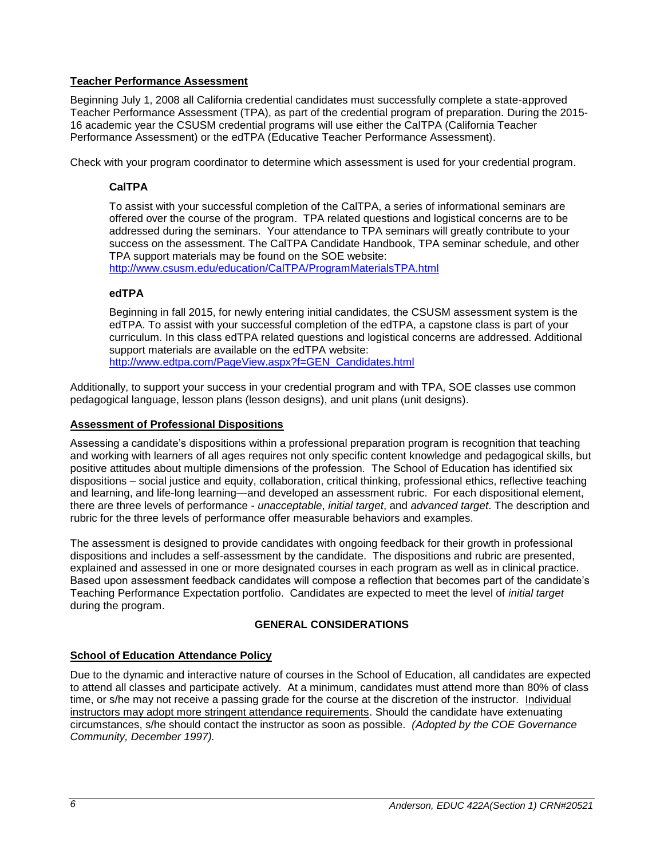# <span id="page-5-0"></span>**Teacher Performance Assessment**

Beginning July 1, 2008 all California credential candidates must successfully complete a state-approved Teacher Performance Assessment (TPA), as part of the credential program of preparation. During the 2015- 16 academic year the CSUSM credential programs will use either the CalTPA (California Teacher Performance Assessment) or the edTPA (Educative Teacher Performance Assessment).

<span id="page-5-1"></span>Check with your program coordinator to determine which assessment is used for your credential program.

# **CalTPA**

To assist with your successful completion of the CalTPA, a series of informational seminars are offered over the course of the program. TPA related questions and logistical concerns are to be addressed during the seminars. Your attendance to TPA seminars will greatly contribute to your success on the assessment. The CalTPA Candidate Handbook, TPA seminar schedule, and other TPA support materials may be found on the SOE website:

<http://www.csusm.edu/education/CalTPA/ProgramMaterialsTPA.html>

# <span id="page-5-2"></span>**edTPA**

Beginning in fall 2015, for newly entering initial candidates, the CSUSM assessment system is the edTPA. To assist with your successful completion of the edTPA, a capstone class is part of your curriculum. In this class edTPA related questions and logistical concerns are addressed. Additional support materials are available on the edTPA website: [http://www.edtpa.com/PageView.aspx?f=GEN\\_Candidates.html](http://www.edtpa.com/PageView.aspx?f=GEN_Candidates.html)

Additionally, to support your success in your credential program and with TPA, SOE classes use common pedagogical language, lesson plans (lesson designs), and unit plans (unit designs).

### <span id="page-5-3"></span>**Assessment of Professional Dispositions**

Assessing a candidate's dispositions within a professional preparation program is recognition that teaching and working with learners of all ages requires not only specific content knowledge and pedagogical skills, but positive attitudes about multiple dimensions of the profession. The School of Education has identified six dispositions – social justice and equity, collaboration, critical thinking, professional ethics, reflective teaching and learning, and life-long learning—and developed an assessment rubric. For each dispositional element, there are three levels of performance - *unacceptable*, *initial target*, and *advanced target*. The description and rubric for the three levels of performance offer measurable behaviors and examples.

The assessment is designed to provide candidates with ongoing feedback for their growth in professional dispositions and includes a self-assessment by the candidate. The dispositions and rubric are presented, explained and assessed in one or more designated courses in each program as well as in clinical practice. Based upon assessment feedback candidates will compose a reflection that becomes part of the candidate's Teaching Performance Expectation portfolio. Candidates are expected to meet the level of *initial target* during the program.

# **GENERAL CONSIDERATIONS**

# <span id="page-5-5"></span><span id="page-5-4"></span>**School of Education Attendance Policy**

Due to the dynamic and interactive nature of courses in the School of Education, all candidates are expected to attend all classes and participate actively. At a minimum, candidates must attend more than 80% of class time, or s/he may not receive a passing grade for the course at the discretion of the instructor. Individual instructors may adopt more stringent attendance requirements. Should the candidate have extenuating circumstances, s/he should contact the instructor as soon as possible. *(Adopted by the COE Governance Community, December 1997).*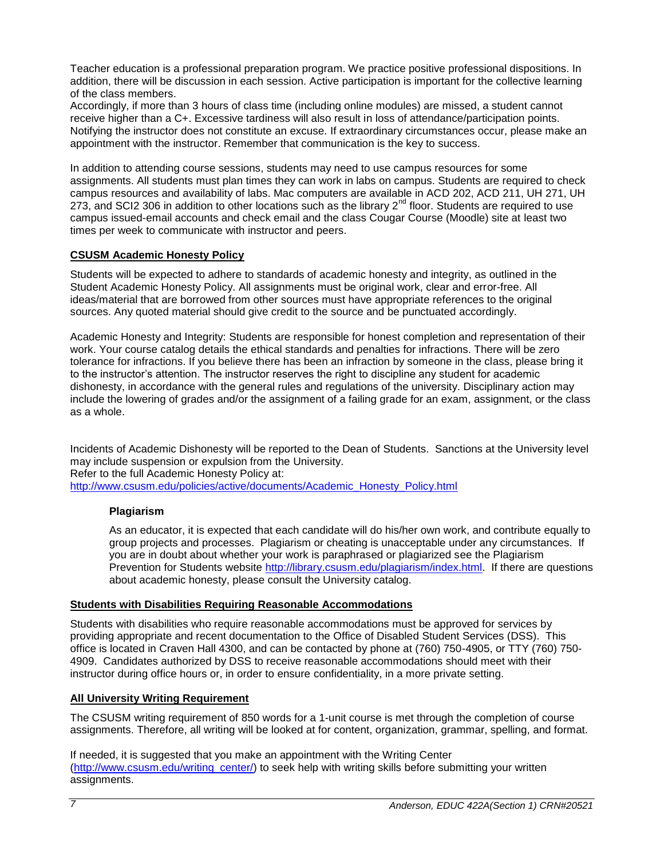Teacher education is a professional preparation program. We practice positive professional dispositions. In addition, there will be discussion in each session. Active participation is important for the collective learning of the class members.

Accordingly, if more than 3 hours of class time (including online modules) are missed, a student cannot receive higher than a C+. Excessive tardiness will also result in loss of attendance/participation points. Notifying the instructor does not constitute an excuse. If extraordinary circumstances occur, please make an appointment with the instructor. Remember that communication is the key to success.

In addition to attending course sessions, students may need to use campus resources for some assignments. All students must plan times they can work in labs on campus. Students are required to check campus resources and availability of labs. Mac computers are available in ACD 202, ACD 211, UH 271, UH 273, and SCI2 306 in addition to other locations such as the library 2<sup>nd</sup> floor. Students are required to use campus issued-email accounts and check email and the class Cougar Course (Moodle) site at least two times per week to communicate with instructor and peers.

# <span id="page-6-0"></span>**CSUSM Academic Honesty Policy**

Students will be expected to adhere to standards of academic honesty and integrity, as outlined in the Student Academic Honesty Policy. All assignments must be original work, clear and error-free. All ideas/material that are borrowed from other sources must have appropriate references to the original sources. Any quoted material should give credit to the source and be punctuated accordingly.

Academic Honesty and Integrity: Students are responsible for honest completion and representation of their work. Your course catalog details the ethical standards and penalties for infractions. There will be zero tolerance for infractions. If you believe there has been an infraction by someone in the class, please bring it to the instructor's attention. The instructor reserves the right to discipline any student for academic dishonesty, in accordance with the general rules and regulations of the university. Disciplinary action may include the lowering of grades and/or the assignment of a failing grade for an exam, assignment, or the class as a whole.

Incidents of Academic Dishonesty will be reported to the Dean of Students. Sanctions at the University level may include suspension or expulsion from the University. Refer to the full Academic Honesty Policy at: [http://www.csusm.edu/policies/active/documents/Academic\\_Honesty\\_Policy.html](http://www.csusm.edu/policies/active/documents/Academic_Honesty_Policy.html)

<span id="page-6-1"></span>

# **Plagiarism**

As an educator, it is expected that each candidate will do his/her own work, and contribute equally to group projects and processes. Plagiarism or cheating is unacceptable under any circumstances. If you are in doubt about whether your work is paraphrased or plagiarized see the Plagiarism Prevention for Students website [http://library.csusm.edu/plagiarism/index.html.](http://library.csusm.edu/plagiarism/index.html) If there are questions about academic honesty, please consult the University catalog.

# <span id="page-6-2"></span>**Students with Disabilities Requiring Reasonable Accommodations**

Students with disabilities who require reasonable accommodations must be approved for services by providing appropriate and recent documentation to the Office of Disabled Student Services (DSS). This office is located in Craven Hall 4300, and can be contacted by phone at (760) 750-4905, or TTY (760) 750- 4909. Candidates authorized by DSS to receive reasonable accommodations should meet with their instructor during office hours or, in order to ensure confidentiality, in a more private setting.

# <span id="page-6-3"></span>**All University Writing Requirement**

The CSUSM writing requirement of 850 words for a 1-unit course is met through the completion of course assignments. Therefore, all writing will be looked at for content, organization, grammar, spelling, and format.

If needed, it is suggested that you make an appointment with the Writing Center [\(http://www.csusm.edu/writing\\_center/\)](http://www.csusm.edu/writing_center/) to seek help with writing skills before submitting your written assignments.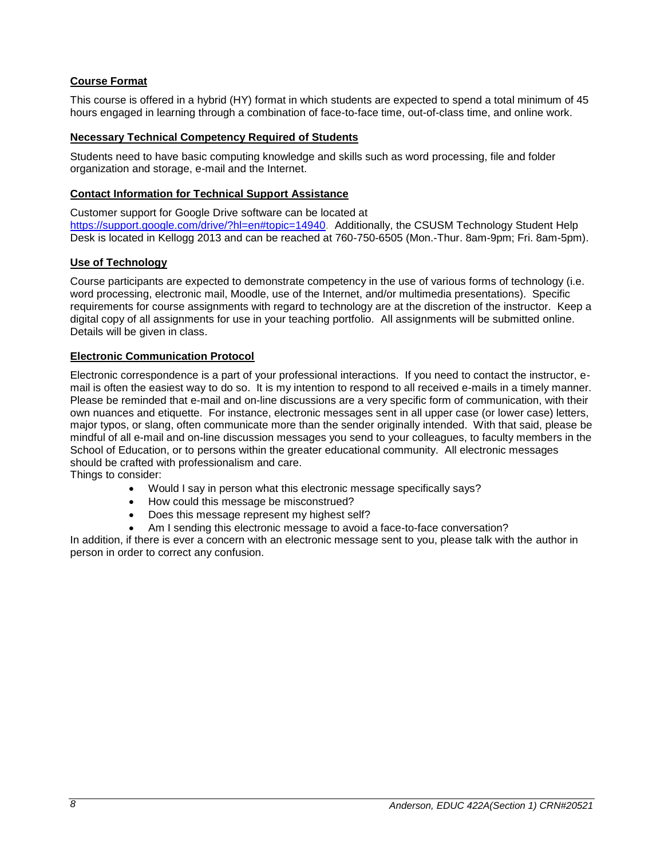# <span id="page-7-0"></span>**Course Format**

This course is offered in a hybrid (HY) format in which students are expected to spend a total minimum of 45 hours engaged in learning through a combination of face-to-face time, out-of-class time, and online work.

# <span id="page-7-1"></span>**Necessary Technical Competency Required of Students**

Students need to have basic computing knowledge and skills such as word processing, file and folder organization and storage, e-mail and the Internet.

# <span id="page-7-2"></span>**Contact Information for Technical Support Assistance**

Customer support for Google Drive software can be located at

[https://support.google.com/drive/?hl=en#topic=14940.](https://support.google.com/drive/?hl=en#topic=14940) Additionally, the CSUSM Technology Student Help Desk is located in Kellogg 2013 and can be reached at 760-750-6505 (Mon.-Thur. 8am-9pm; Fri. 8am-5pm).

# <span id="page-7-3"></span>**Use of Technology**

Course participants are expected to demonstrate competency in the use of various forms of technology (i.e. word processing, electronic mail, Moodle, use of the Internet, and/or multimedia presentations). Specific requirements for course assignments with regard to technology are at the discretion of the instructor. Keep a digital copy of all assignments for use in your teaching portfolio. All assignments will be submitted online. Details will be given in class.

# <span id="page-7-4"></span>**Electronic Communication Protocol**

Electronic correspondence is a part of your professional interactions. If you need to contact the instructor, email is often the easiest way to do so. It is my intention to respond to all received e-mails in a timely manner. Please be reminded that e-mail and on-line discussions are a very specific form of communication, with their own nuances and etiquette. For instance, electronic messages sent in all upper case (or lower case) letters, major typos, or slang, often communicate more than the sender originally intended. With that said, please be mindful of all e-mail and on-line discussion messages you send to your colleagues, to faculty members in the School of Education, or to persons within the greater educational community. All electronic messages should be crafted with professionalism and care.

Things to consider:

- Would I say in person what this electronic message specifically says?
- How could this message be misconstrued?
- Does this message represent my highest self?
- Am I sending this electronic message to avoid a face-to-face conversation?

In addition, if there is ever a concern with an electronic message sent to you, please talk with the author in person in order to correct any confusion.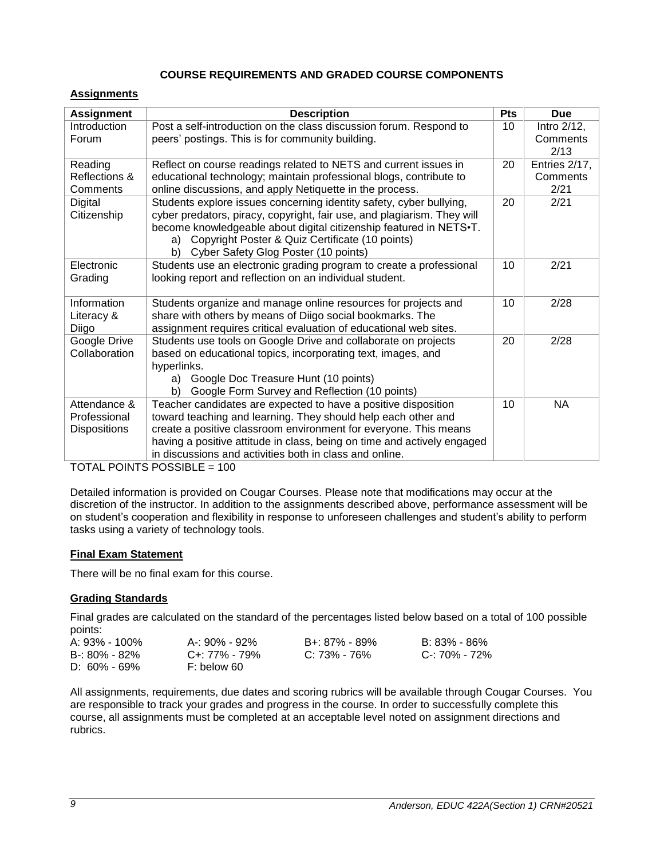# **COURSE REQUIREMENTS AND GRADED COURSE COMPONENTS**

### <span id="page-8-1"></span><span id="page-8-0"></span>**Assignments**

| <b>Assignment</b>                            | <b>Description</b>                                                                                                                                                                                                                                                                                                                        | <b>Pts</b> | <b>Due</b>                        |
|----------------------------------------------|-------------------------------------------------------------------------------------------------------------------------------------------------------------------------------------------------------------------------------------------------------------------------------------------------------------------------------------------|------------|-----------------------------------|
| Introduction<br>Forum                        | Post a self-introduction on the class discussion forum. Respond to<br>peers' postings. This is for community building.                                                                                                                                                                                                                    |            | Intro 2/12,<br>Comments<br>2/13   |
| Reading<br>Reflections &<br>Comments         | Reflect on course readings related to NETS and current issues in<br>educational technology; maintain professional blogs, contribute to<br>online discussions, and apply Netiquette in the process.                                                                                                                                        | 20         | Entries 2/17,<br>Comments<br>2/21 |
| Digital<br>Citizenship                       | Students explore issues concerning identity safety, cyber bullying,<br>20<br>cyber predators, piracy, copyright, fair use, and plagiarism. They will<br>become knowledgeable about digital citizenship featured in NETS.T.<br>Copyright Poster & Quiz Certificate (10 points)<br>a)<br>b)<br>Cyber Safety Glog Poster (10 points)         |            |                                   |
| Electronic<br>Grading                        | Students use an electronic grading program to create a professional<br>looking report and reflection on an individual student.                                                                                                                                                                                                            |            | 2/21                              |
| Information<br>Literacy &<br>Diigo           | Students organize and manage online resources for projects and<br>share with others by means of Diigo social bookmarks. The<br>assignment requires critical evaluation of educational web sites.                                                                                                                                          |            | 2/28                              |
| Google Drive<br>Collaboration                | Students use tools on Google Drive and collaborate on projects<br>based on educational topics, incorporating text, images, and<br>hyperlinks.<br>Google Doc Treasure Hunt (10 points)<br>a)<br>b)<br>Google Form Survey and Reflection (10 points)                                                                                        |            | 2/28                              |
| Attendance &<br>Professional<br>Dispositions | Teacher candidates are expected to have a positive disposition<br>toward teaching and learning. They should help each other and<br>create a positive classroom environment for everyone. This means<br>having a positive attitude in class, being on time and actively engaged<br>in discussions and activities both in class and online. | 10         | <b>NA</b>                         |

TOTAL POINTS POSSIBLE = 100

Detailed information is provided on Cougar Courses. Please note that modifications may occur at the discretion of the instructor. In addition to the assignments described above, performance assessment will be on student's cooperation and flexibility in response to unforeseen challenges and student's ability to perform tasks using a variety of technology tools.

# <span id="page-8-2"></span>**Final Exam Statement**

There will be no final exam for this course.

# <span id="page-8-3"></span>**Grading Standards**

Final grades are calculated on the standard of the percentages listed below based on a total of 100 possible points:

| A: 93% - 100%     | A-: 90% - 92% | B+: 87% - 89% | B: 83% - 86%  |
|-------------------|---------------|---------------|---------------|
| $B - 80\% - 82\%$ | C+: 77% - 79% | C: 73% - 76%  | C-: 70% - 72% |
| $D: 60\% - 69\%$  | F: below 60   |               |               |

All assignments, requirements, due dates and scoring rubrics will be available through Cougar Courses. You are responsible to track your grades and progress in the course. In order to successfully complete this course, all assignments must be completed at an acceptable level noted on assignment directions and rubrics.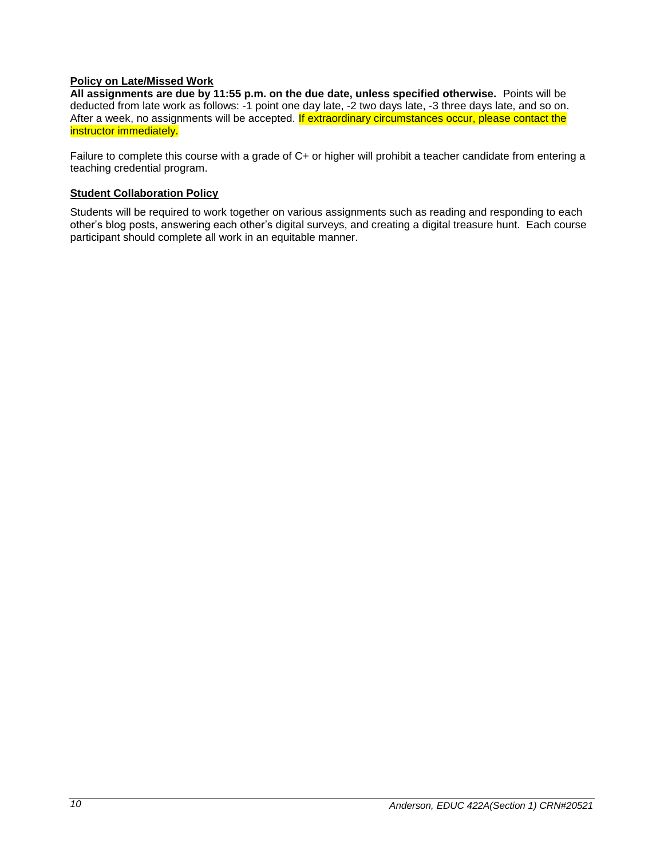# **Policy on Late/Missed Work**

**All assignments are due by 11:55 p.m. on the due date, unless specified otherwise.** Points will be deducted from late work as follows: -1 point one day late, -2 two days late, -3 three days late, and so on. After a week, no assignments will be accepted. If extraordinary circumstances occur, please contact the instructor immediately.

Failure to complete this course with a grade of C+ or higher will prohibit a teacher candidate from entering a teaching credential program.

#### <span id="page-9-0"></span>**Student Collaboration Policy**

Students will be required to work together on various assignments such as reading and responding to each other's blog posts, answering each other's digital surveys, and creating a digital treasure hunt. Each course participant should complete all work in an equitable manner.